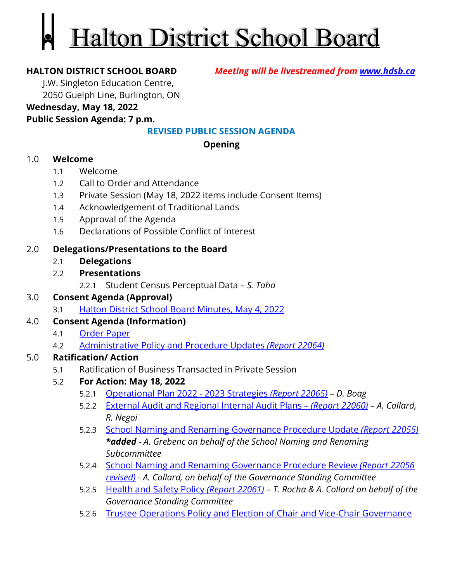# **Halton District School Board**

**HALTON DISTRICT SCHOOL BOARD** *Meeting will be livestreamed from [www.hdsb.ca](http://www.hdsb.ca/)*

J.W. Singleton Education Centre,

2050 Guelph Line, Burlington, ON

#### **Wednesday, May 18, 2022**

#### **Public Session Agenda: 7 p.m.**

**REVISED PUBLIC SESSION AGENDA**

#### **Opening**

#### 1.0 **Welcome**

- 1.1 Welcome
- 1.2 Call to Order and Attendance
- 1.3 Private Session (May 18, 2022 items include Consent Items)
- 1.4 Acknowledgement of Traditional Lands
- 1.5 Approval of the Agenda
- 1.6 Declarations of Possible Conflict of Interest

#### 2.0 **Delegations/Presentations to the Board**

2.1 **Delegations** 

#### 2.2 **Presentations**

2.2.1 Student Census Perceptual Data – *S. Taha*

#### 3.0 **Consent Agenda (Approval)**

3.1 [Halton District School Board Minutes, May 4, 2022](https://drive.google.com/file/d/13k55AK0HfeoDv46zifcQSofZuDvfdot5/view?usp=sharing)

#### 4.0 **Consent Agenda (Information)**

- 4.1 [Order Paper](https://drive.google.com/file/d/1-_vXmXqMRy4J8v9HNT_SFHy-Cs9sPucg/view?usp=sharing)
- 4.2 [Administrative Policy and Procedure Updates](https://drive.google.com/file/d/1nXWi92sJ5DbfwLwJBlgSvSRteQLuYfwG/view?usp=sharing) *(Report 22064)*

### 5.0 **Ratification/ Action**

5.1 Ratification of Business Transacted in Private Session

### 5.2 **For Action: May 18, 2022**

- 5.2.1 [Operational Plan 2022 2023 Strategies](https://drive.google.com/file/d/1BvHn0MmMJ-tsHMMdtXit_BNb7XPRn7eF/view?usp=sharing) *(Report 22065) D. Boag*
- 5.2.2 [External Audit and Regional Internal Audit Plans](https://drive.google.com/file/d/1GLLB2MRomuolpB8sdZ__uvDlPvGc7WhG/view?usp=sharing)  *(Report 22060) A. Collard, R. Negoi*
- 5.2.3 [School Naming and Renaming Governance Procedure Update](https://drive.google.com/file/d/1r8itudlI34xC5Jp3Qfx_s2V5Tw8GDr_6/view?usp=sharing) *(Report 22055) \*added - A. Grebenc on behalf of the School Naming and Renaming Subcommittee*
- 5.2.4 [School Naming and Renaming Governance Procedure Review](https://drive.google.com/file/d/1KCzOUjPs29OJ5U9E2lhMxxDELcJYKH0_/view?usp=sharing) *(Report 22056 [revised\)](https://drive.google.com/file/d/1KCzOUjPs29OJ5U9E2lhMxxDELcJYKH0_/view?usp=sharing)* - *A. Collard, on behalf of the Governance Standing Committee*
- 5.2.5 [Health and Safety Policy](https://drive.google.com/file/d/1-yordZvc9uGdsMXAm9GSyL1D1XrzYpbf/view?usp=sharing) *(Report 22061) T. Rocha & A. Collard on behalf of the Governance Standing Committee*
- 5.2.6 [Trustee Operations Policy and Election of Chair and Vice-Chair Governance](https://drive.google.com/file/d/1db5Nin2UQBihFObnxn3Z2bR-3_JmqY9i/view?usp=sharing)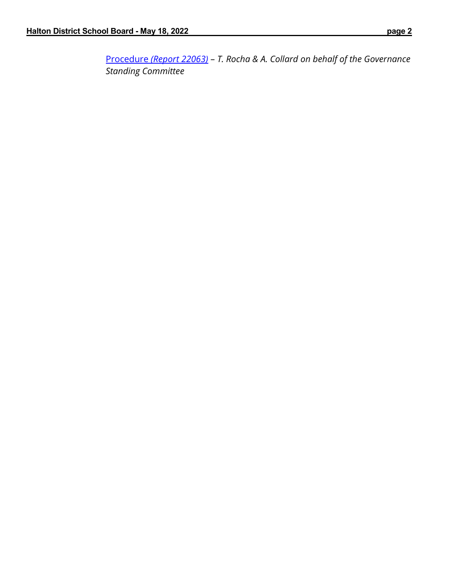Procedure *[\(Report 22063\)](https://drive.google.com/file/d/1db5Nin2UQBihFObnxn3Z2bR-3_JmqY9i/view?usp=sharing)* – *T. Rocha & A. Collard on behalf of the Governance Standing Committee*